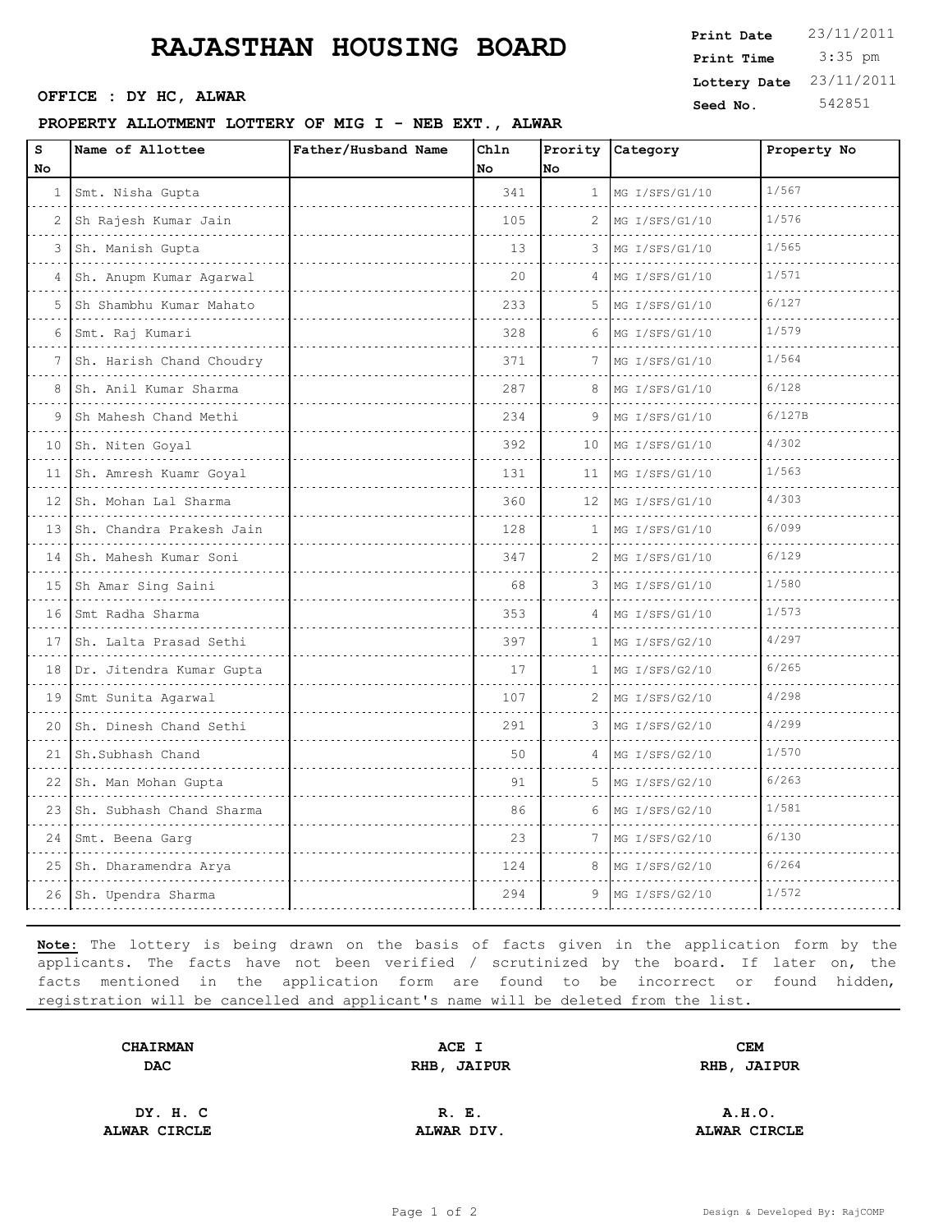## **RAJASTHAN HOUSING BOARD**

OFFICE : DY HC, ALWAR

## **PROPERTY ALLOTMENT LOTTERY OF MIG I - NEB EXT., ALWAR**

| Print Date   | 23/11/2011 |
|--------------|------------|
| Print Time   | $3:35$ pm  |
| Lottery Date | 23/11/2011 |
| Seed No.     | 542851     |

| S<br>No      | Name of Allottee                   | Father/Husband Name | Chln<br>No | Prority<br>No | Category                   | Property No |
|--------------|------------------------------------|---------------------|------------|---------------|----------------------------|-------------|
| $\mathbf{1}$ | Smt. Nisha Gupta<br>.              |                     | 341        | 1             | MG I/SFS/G1/10             | 1/567       |
| 2            | Sh Rajesh Kumar Jain               |                     | 105        | 2             | <u>.</u><br>MG I/SFS/G1/10 | 1/576       |
| 3            | Sh. Manish Gupta                   |                     | 13         | 3             | MG I/SFS/G1/10             | 1/565       |
| 4            | Sh. Anupm Kumar Agarwal            |                     | 20         | 4             | MG I/SFS/G1/10             | 1/571       |
| 5            | Sh Shambhu Kumar Mahato            |                     | 233        | 5             | MG I/SFS/G1/10             | 6/127       |
| 6            | Smt. Raj Kumari                    |                     | 328        | 6             | MG I/SFS/G1/10             | 1/579       |
| 7            | Sh. Harish Chand Choudry           |                     | 371        | 7             | MG I/SFS/G1/10             | 1/564       |
| 8            | Sh. Anil Kumar Sharma              |                     | 287        | 8             | MG I/SFS/G1/10             | 6/128       |
| 9            | Sh Mahesh Chand Methi              |                     | 234        | 9             | MG I/SFS/G1/10             | 6/127B      |
| 10           | Sh. Niten Goyal                    |                     | 392        | 10            | MG I/SFS/G1/10             | 4/302       |
|              | 11 Sh. Amresh Kuamr Goyal<br>.     |                     | 131        | 11            | MG I/SFS/G1/10             | 1/563       |
| 12           | Sh. Mohan Lal Sharma               |                     | 360        | 12            | MG I/SFS/G1/10             | 4/303       |
|              | 13 Sh. Chandra Prakesh Jain        |                     | 128        | 1             | MG I/SFS/G1/10             | 6/099       |
|              | 14 Sh. Mahesh Kumar Soni<br>.      |                     | 347        | 2             | MG I/SFS/G1/10             | 6/129       |
| 15           | Sh Amar Sing Saini<br>.            |                     | 68         | 3             | MG I/SFS/G1/10             | 1/580       |
|              | 16 Smt Radha Sharma                |                     | 353        | 4             | MG I/SFS/G1/10             | 1/573       |
| 17           | Sh. Lalta Prasad Sethi             |                     | 397        | 1             | MG I/SFS/G2/10             | 4/297       |
| 18           | Dr. Jitendra Kumar Gupta<br>.      |                     | 17         | 1             | MG I/SFS/G2/10             | 6/265       |
|              | 19 Smt Sunita Agarwal              |                     | 107        | 2             | MG I/SFS/G2/10             | 4/298       |
| 20           | Sh. Dinesh Chand Sethi<br><u>.</u> |                     | 291        | 3             | MG I/SFS/G2/10             | 4/299       |
| 21           | Sh.Subhash Chand                   |                     | 50         | 4             | MG I/SFS/G2/10             | 1/570       |
| 22           | Sh. Man Mohan Gupta                |                     | 91         | 5             | MG I/SFS/G2/10             | 6/263       |
| 23           | Sh. Subhash Chand Sharma           |                     | 86         | 6             | MG I/SFS/G2/10             | 1/581       |
| 24           | Smt. Beena Garq                    |                     | 23         | 7             | MG I/SFS/G2/10             | 6/130       |
| 25           | Sh. Dharamendra Arya<br>.          |                     | 124        | 8             | MG I/SFS/G2/10             | 6/264       |
|              | 26 Sh. Upendra Sharma              |                     | 294        | 9             | MG I/SFS/G2/10             | 1/572       |

**Note:** The lottery is being drawn on the basis of facts given in the application form by the applicants. The facts have not been verified / scrutinized by the board. If later on, the facts mentioned in the application form are found to be incorrect or found hidden, registration will be cancelled and applicant's name will be deleted from the list.

| <b>CHAIRMAN</b> | ACE I       | <b>CEM</b>  |  |
|-----------------|-------------|-------------|--|
| <b>DAC</b>      | RHB, JAIPUR | RHB, JAIPUR |  |
| DY. H. C        | R. E.       | A.H.O.      |  |

**ALWAR CIRCLE ALWAR DIV. ALWAR CIRCLE**